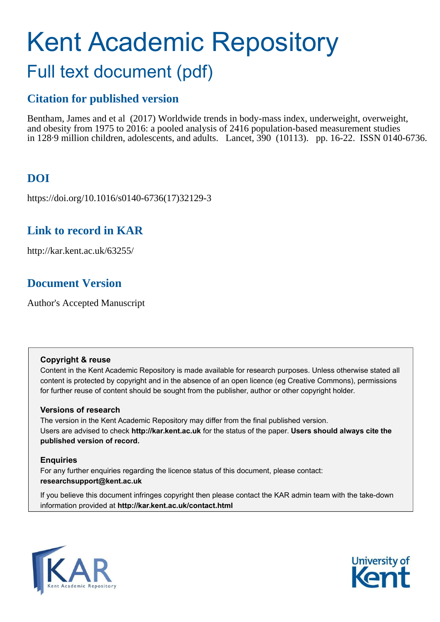# Kent Academic Repository Full text document (pdf)

# **Citation for published version**

Bentham, James and et al (2017) Worldwide trends in body-mass index, underweight, overweight, and obesity from 1975 to 2016: a pooled analysis of 2416 population-based measurement studies in 128·9 million children, adolescents, and adults. Lancet, 390 (10113). pp. 16-22. ISSN 0140-6736.

# **DOI**

https://doi.org/10.1016/s0140-6736(17)32129-3

# **Link to record in KAR**

http://kar.kent.ac.uk/63255/

# **Document Version**

Author's Accepted Manuscript

# **Copyright & reuse**

Content in the Kent Academic Repository is made available for research purposes. Unless otherwise stated all content is protected by copyright and in the absence of an open licence (eg Creative Commons), permissions for further reuse of content should be sought from the publisher, author or other copyright holder.

# **Versions of research**

The version in the Kent Academic Repository may differ from the final published version. Users are advised to check **http://kar.kent.ac.uk** for the status of the paper. **Users should always cite the published version of record.**

# **Enquiries**

For any further enquiries regarding the licence status of this document, please contact: **researchsupport@kent.ac.uk**

If you believe this document infringes copyright then please contact the KAR admin team with the take-down information provided at **http://kar.kent.ac.uk/contact.html**



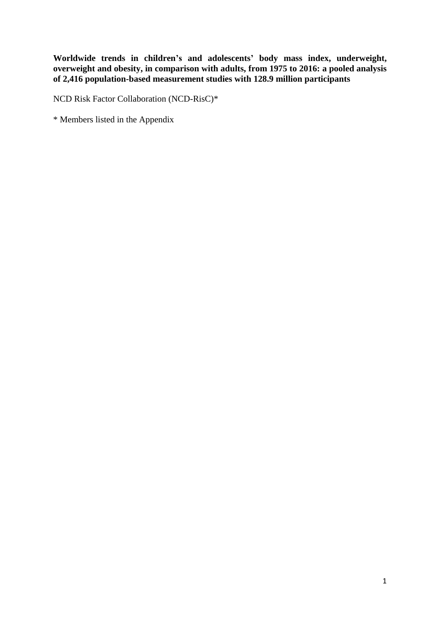**Worldwide trends in children's and adolescents' body mass index, underweight, overweight and obesity, in comparison with adults, from 1975 to 2016: a pooled analysis of 2,416 population-based measurement studies with 128.9 million participants** 

NCD Risk Factor Collaboration (NCD-RisC)\*

\* Members listed in the Appendix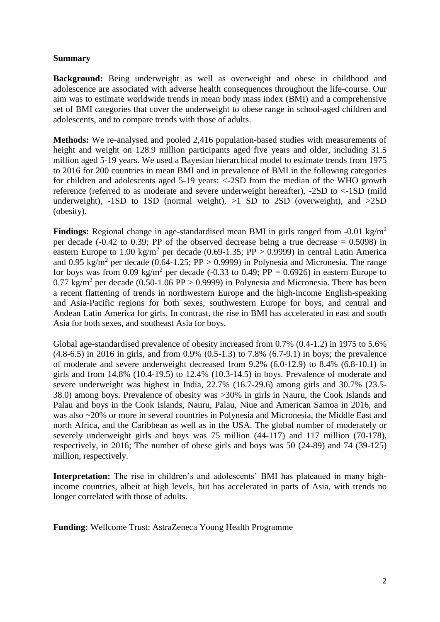## **Summary**

**Background:** Being underweight as well as overweight and obese in childhood and adolescence are associated with adverse health consequences throughout the life-course. Our aim was to estimate worldwide trends in mean body mass index (BMI) and a comprehensive set of BMI categories that cover the underweight to obese range in school-aged children and adolescents, and to compare trends with those of adults.

**Methods:** We re-analysed and pooled 2,416 population-based studies with measurements of height and weight on 128.9 million participants aged five years and older, including 31.5 million aged 5-19 years. We used a Bayesian hierarchical model to estimate trends from 1975 to 2016 for 200 countries in mean BMI and in prevalence of BMI in the following categories for children and adolescents aged 5-19 years: <-2SD from the median of the WHO growth reference (referred to as moderate and severe underweight hereafter), -2SD to <-1SD (mild underweight),  $-1SD$  to  $1SD$  (normal weight),  $>1$  SD to  $2SD$  (overweight), and  $>2SD$ (obesity).

**Findings:** Regional change in age-standardised mean BMI in girls ranged from -0.01 kg/m<sup>2</sup> per decade (-0.42 to 0.39; PP of the observed decrease being a true decrease  $= 0.5098$ ) in eastern Europe to 1.00 kg/m<sup>2</sup> per decade (0.69-1.35; PP > 0.9999) in central Latin America and 0.95 kg/m<sup>2</sup> per decade (0.64-1.25; PP > 0.9999) in Polynesia and Micronesia. The range for boys was from 0.09 kg/m<sup>2</sup> per decade (-0.33 to 0.49; PP = 0.6926) in eastern Europe to 0.77 kg/m<sup>2</sup> per decade (0.50-1.06 PP > 0.9999) in Polynesia and Micronesia. There has been a recent flattening of trends in northwestern Europe and the high-income English-speaking and Asia-Pacific regions for both sexes, southwestern Europe for boys, and central and Andean Latin America for girls. In contrast, the rise in BMI has accelerated in east and south Asia for both sexes, and southeast Asia for boys.

Global age-standardised prevalence of obesity increased from 0.7% (0.4-1.2) in 1975 to 5.6% (4.8-6.5) in 2016 in girls, and from 0.9% (0.5-1.3) to 7.8% (6.7-9.1) in boys; the prevalence of moderate and severe underweight decreased from 9.2% (6.0-12.9) to 8.4% (6.8-10.1) in girls and from 14.8% (10.4-19.5) to 12.4% (10.3-14.5) in boys. Prevalence of moderate and severe underweight was highest in India, 22.7% (16.7-29.6) among girls and 30.7% (23.5- 38.0) among boys. Prevalence of obesity was >30% in girls in Nauru, the Cook Islands and Palau and boys in the Cook Islands, Nauru, Palau, Niue and American Samoa in 2016, and was also ~20% or more in several countries in Polynesia and Micronesia, the Middle East and north Africa, and the Caribbean as well as in the USA. The global number of moderately or severely underweight girls and boys was 75 million (44-117) and 117 million (70-178), respectively, in 2016; The number of obese girls and boys was 50 (24-89) and 74 (39-125) million, respectively.

**Interpretation:** The rise in children's and adolescents' BMI has plateaued in many highincome countries, albeit at high levels, but has accelerated in parts of Asia, with trends no longer correlated with those of adults.

**Funding:** Wellcome Trust; AstraZeneca Young Health Programme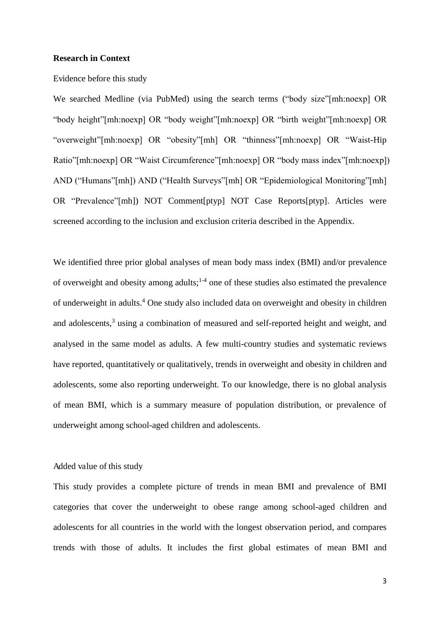#### **Research in Context**

#### Evidence before this study

We searched Medline (via PubMed) using the search terms ("body size"[mh:noexp] OR "body height"[mh:noexp] OR "body weight"[mh:noexp] OR "birth weight"[mh:noexp] OR "overweight"[mh:noexp] OR "obesity"[mh] OR "thinness"[mh:noexp] OR "Waist-Hip Ratio"[mh:noexp] OR "Waist Circumference"[mh:noexp] OR "body mass index"[mh:noexp]) AND ("Humans"[mh]) AND ("Health Surveys"[mh] OR "Epidemiological Monitoring"[mh] OR "Prevalence"[mh]) NOT Comment[ptyp] NOT Case Reports[ptyp]. Articles were screened according to the inclusion and exclusion criteria described in the Appendix.

We identified three prior global analyses of mean body mass index (BMI) and/or prevalence of overweight and obesity among adults;<sup>1-4</sup> one of these studies also estimated the prevalence of underweight in adults.<sup>4</sup> One study also included data on overweight and obesity in children and adolescents,<sup>3</sup> using a combination of measured and self-reported height and weight, and analysed in the same model as adults. A few multi-country studies and systematic reviews have reported, quantitatively or qualitatively, trends in overweight and obesity in children and adolescents, some also reporting underweight. To our knowledge, there is no global analysis of mean BMI, which is a summary measure of population distribution, or prevalence of underweight among school-aged children and adolescents.

#### Added value of this study

This study provides a complete picture of trends in mean BMI and prevalence of BMI categories that cover the underweight to obese range among school-aged children and adolescents for all countries in the world with the longest observation period, and compares trends with those of adults. It includes the first global estimates of mean BMI and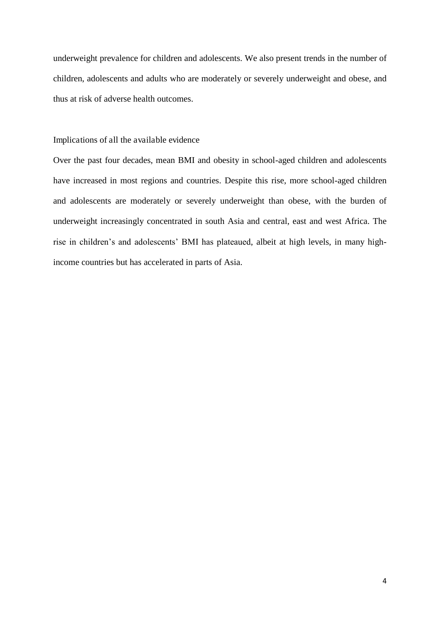underweight prevalence for children and adolescents. We also present trends in the number of children, adolescents and adults who are moderately or severely underweight and obese, and thus at risk of adverse health outcomes.

#### Implications of all the available evidence

Over the past four decades, mean BMI and obesity in school-aged children and adolescents have increased in most regions and countries. Despite this rise, more school-aged children and adolescents are moderately or severely underweight than obese, with the burden of underweight increasingly concentrated in south Asia and central, east and west Africa. The rise in children's and adolescents' BMI has plateaued, albeit at high levels, in many highincome countries but has accelerated in parts of Asia.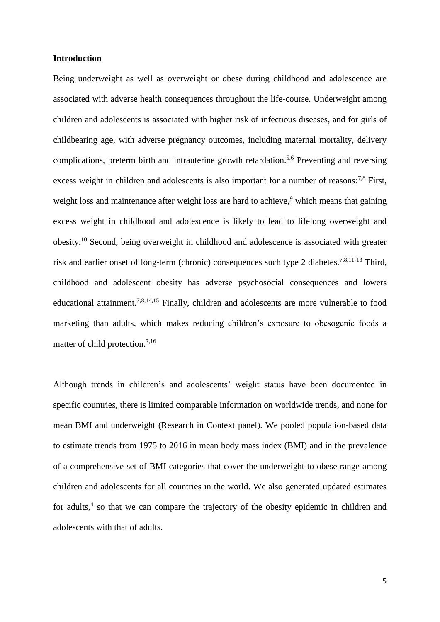#### **Introduction**

Being underweight as well as overweight or obese during childhood and adolescence are associated with adverse health consequences throughout the life-course. Underweight among children and adolescents is associated with higher risk of infectious diseases, and for girls of childbearing age, with adverse pregnancy outcomes, including maternal mortality, delivery complications, preterm birth and intrauterine growth retardation.<sup>5,6</sup> Preventing and reversing excess weight in children and adolescents is also important for a number of reasons:<sup>7,8</sup> First, weight loss and maintenance after weight loss are hard to achieve,<sup>9</sup> which means that gaining excess weight in childhood and adolescence is likely to lead to lifelong overweight and obesity.<sup>10</sup> Second, being overweight in childhood and adolescence is associated with greater risk and earlier onset of long-term (chronic) consequences such type 2 diabetes.<sup>7,8,11-13</sup> Third, childhood and adolescent obesity has adverse psychosocial consequences and lowers educational attainment.7,8,14,15 Finally, children and adolescents are more vulnerable to food marketing than adults, which makes reducing children's exposure to obesogenic foods a matter of child protection.<sup>7,16</sup>

Although trends in children's and adolescents' weight status have been documented in specific countries, there is limited comparable information on worldwide trends, and none for mean BMI and underweight (Research in Context panel). We pooled population-based data to estimate trends from 1975 to 2016 in mean body mass index (BMI) and in the prevalence of a comprehensive set of BMI categories that cover the underweight to obese range among children and adolescents for all countries in the world. We also generated updated estimates for adults,<sup>4</sup> so that we can compare the trajectory of the obesity epidemic in children and adolescents with that of adults.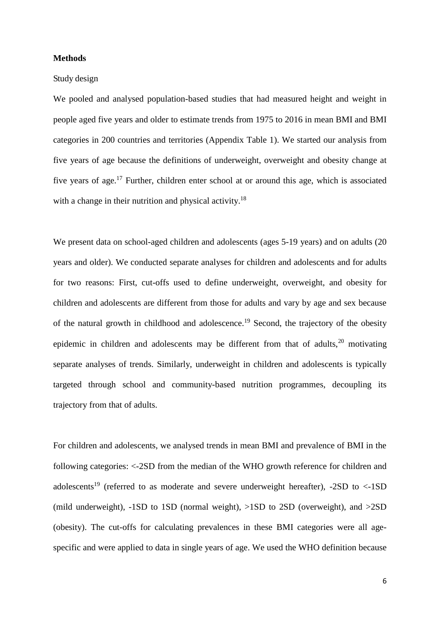#### **Methods**

#### Study design

We pooled and analysed population-based studies that had measured height and weight in people aged five years and older to estimate trends from 1975 to 2016 in mean BMI and BMI categories in 200 countries and territories (Appendix Table 1). We started our analysis from five years of age because the definitions of underweight, overweight and obesity change at five years of age.<sup>17</sup> Further, children enter school at or around this age, which is associated with a change in their nutrition and physical activity.<sup>18</sup>

We present data on school-aged children and adolescents (ages 5-19 years) and on adults (20 years and older). We conducted separate analyses for children and adolescents and for adults for two reasons: First, cut-offs used to define underweight, overweight, and obesity for children and adolescents are different from those for adults and vary by age and sex because of the natural growth in childhood and adolescence.<sup>19</sup> Second, the trajectory of the obesity epidemic in children and adolescents may be different from that of adults,  $20$  motivating separate analyses of trends. Similarly, underweight in children and adolescents is typically targeted through school and community-based nutrition programmes, decoupling its trajectory from that of adults.

For children and adolescents, we analysed trends in mean BMI and prevalence of BMI in the following categories: <-2SD from the median of the WHO growth reference for children and adolescents<sup>19</sup> (referred to as moderate and severe underweight hereafter),  $-2SD$  to  $\lt$ -1SD (mild underweight), -1SD to 1SD (normal weight), >1SD to 2SD (overweight), and >2SD (obesity). The cut-offs for calculating prevalences in these BMI categories were all agespecific and were applied to data in single years of age. We used the WHO definition because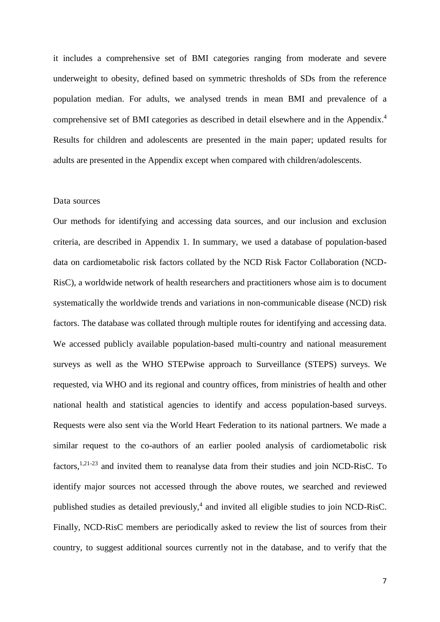it includes a comprehensive set of BMI categories ranging from moderate and severe underweight to obesity, defined based on symmetric thresholds of SDs from the reference population median. For adults, we analysed trends in mean BMI and prevalence of a comprehensive set of BMI categories as described in detail elsewhere and in the Appendix.<sup>4</sup> Results for children and adolescents are presented in the main paper; updated results for adults are presented in the Appendix except when compared with children/adolescents.

#### Data sources

Our methods for identifying and accessing data sources, and our inclusion and exclusion criteria, are described in Appendix 1. In summary, we used a database of population-based data on cardiometabolic risk factors collated by the NCD Risk Factor Collaboration (NCD-RisC), a worldwide network of health researchers and practitioners whose aim is to document systematically the worldwide trends and variations in non-communicable disease (NCD) risk factors. The database was collated through multiple routes for identifying and accessing data. We accessed publicly available population-based multi-country and national measurement surveys as well as the WHO STEPwise approach to Surveillance (STEPS) surveys. We requested, via WHO and its regional and country offices, from ministries of health and other national health and statistical agencies to identify and access population-based surveys. Requests were also sent via the World Heart Federation to its national partners. We made a similar request to the co-authors of an earlier pooled analysis of cardiometabolic risk factors, $1,21-23$  and invited them to reanalyse data from their studies and join NCD-RisC. To identify major sources not accessed through the above routes, we searched and reviewed published studies as detailed previously,<sup>4</sup> and invited all eligible studies to join NCD-RisC. Finally, NCD-RisC members are periodically asked to review the list of sources from their country, to suggest additional sources currently not in the database, and to verify that the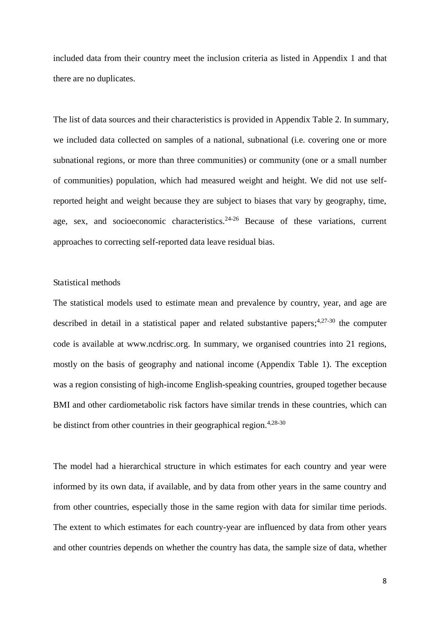included data from their country meet the inclusion criteria as listed in Appendix 1 and that there are no duplicates.

The list of data sources and their characteristics is provided in Appendix Table 2. In summary, we included data collected on samples of a national, subnational (i.e. covering one or more subnational regions, or more than three communities) or community (one or a small number of communities) population, which had measured weight and height. We did not use selfreported height and weight because they are subject to biases that vary by geography, time, age, sex, and socioeconomic characteristics.<sup>24-26</sup> Because of these variations, current approaches to correcting self-reported data leave residual bias.

#### Statistical methods

The statistical models used to estimate mean and prevalence by country, year, and age are described in detail in a statistical paper and related substantive papers;<sup>4,27-30</sup> the computer code is available at www.ncdrisc.org. In summary, we organised countries into 21 regions, mostly on the basis of geography and national income (Appendix Table 1). The exception was a region consisting of high-income English-speaking countries, grouped together because BMI and other cardiometabolic risk factors have similar trends in these countries, which can be distinct from other countries in their geographical region.<sup>4,28-30</sup>

The model had a hierarchical structure in which estimates for each country and year were informed by its own data, if available, and by data from other years in the same country and from other countries, especially those in the same region with data for similar time periods. The extent to which estimates for each country-year are influenced by data from other years and other countries depends on whether the country has data, the sample size of data, whether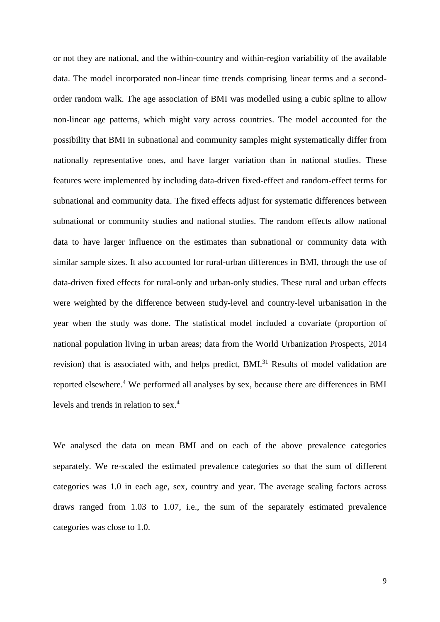or not they are national, and the within-country and within-region variability of the available data. The model incorporated non-linear time trends comprising linear terms and a secondorder random walk. The age association of BMI was modelled using a cubic spline to allow non-linear age patterns, which might vary across countries. The model accounted for the possibility that BMI in subnational and community samples might systematically differ from nationally representative ones, and have larger variation than in national studies. These features were implemented by including data-driven fixed-effect and random-effect terms for subnational and community data. The fixed effects adjust for systematic differences between subnational or community studies and national studies. The random effects allow national data to have larger influence on the estimates than subnational or community data with similar sample sizes. It also accounted for rural-urban differences in BMI, through the use of data-driven fixed effects for rural-only and urban-only studies. These rural and urban effects were weighted by the difference between study-level and country-level urbanisation in the year when the study was done. The statistical model included a covariate (proportion of national population living in urban areas; data from the World Urbanization Prospects, 2014 revision) that is associated with, and helps predict, BMI.<sup>31</sup> Results of model validation are reported elsewhere.<sup>4</sup> We performed all analyses by sex, because there are differences in BMI levels and trends in relation to sex.<sup>4</sup>

We analysed the data on mean BMI and on each of the above prevalence categories separately. We re-scaled the estimated prevalence categories so that the sum of different categories was 1.0 in each age, sex, country and year. The average scaling factors across draws ranged from 1.03 to 1.07, i.e., the sum of the separately estimated prevalence categories was close to 1.0.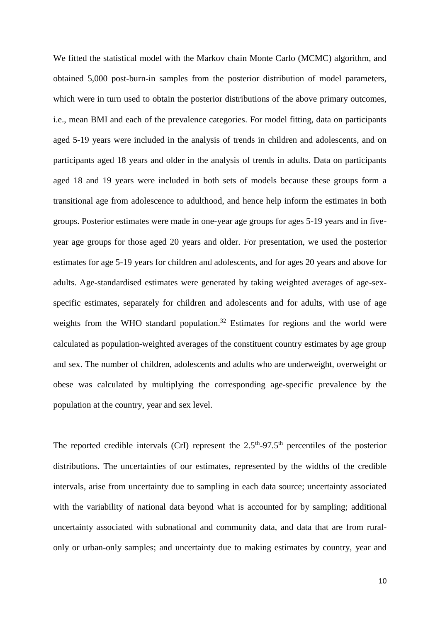We fitted the statistical model with the Markov chain Monte Carlo (MCMC) algorithm, and obtained 5,000 post-burn-in samples from the posterior distribution of model parameters, which were in turn used to obtain the posterior distributions of the above primary outcomes, i.e., mean BMI and each of the prevalence categories. For model fitting, data on participants aged 5-19 years were included in the analysis of trends in children and adolescents, and on participants aged 18 years and older in the analysis of trends in adults. Data on participants aged 18 and 19 years were included in both sets of models because these groups form a transitional age from adolescence to adulthood, and hence help inform the estimates in both groups. Posterior estimates were made in one-year age groups for ages 5-19 years and in fiveyear age groups for those aged 20 years and older. For presentation, we used the posterior estimates for age 5-19 years for children and adolescents, and for ages 20 years and above for adults. Age-standardised estimates were generated by taking weighted averages of age-sexspecific estimates, separately for children and adolescents and for adults, with use of age weights from the WHO standard population.<sup>32</sup> Estimates for regions and the world were calculated as population-weighted averages of the constituent country estimates by age group and sex. The number of children, adolescents and adults who are underweight, overweight or obese was calculated by multiplying the corresponding age-specific prevalence by the population at the country, year and sex level.

The reported credible intervals (CrI) represent the  $2.5<sup>th</sup>-97.5<sup>th</sup>$  percentiles of the posterior distributions. The uncertainties of our estimates, represented by the widths of the credible intervals, arise from uncertainty due to sampling in each data source; uncertainty associated with the variability of national data beyond what is accounted for by sampling; additional uncertainty associated with subnational and community data, and data that are from ruralonly or urban-only samples; and uncertainty due to making estimates by country, year and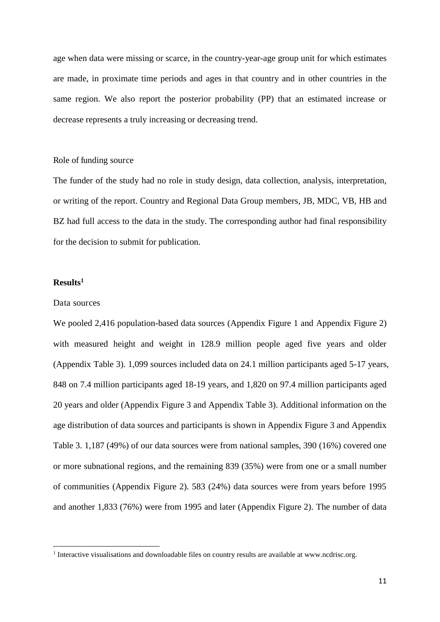age when data were missing or scarce, in the country-year-age group unit for which estimates are made, in proximate time periods and ages in that country and in other countries in the same region. We also report the posterior probability (PP) that an estimated increase or decrease represents a truly increasing or decreasing trend.

## Role of funding source

The funder of the study had no role in study design, data collection, analysis, interpretation, or writing of the report. Country and Regional Data Group members, JB, MDC, VB, HB and BZ had full access to the data in the study. The corresponding author had final responsibility for the decision to submit for publication.

#### **Results<sup>1</sup>**

 $\overline{a}$ 

#### Data sources

We pooled 2,416 population-based data sources (Appendix Figure 1 and Appendix Figure 2) with measured height and weight in 128.9 million people aged five years and older (Appendix Table 3). 1,099 sources included data on 24.1 million participants aged 5-17 years, 848 on 7.4 million participants aged 18-19 years, and 1,820 on 97.4 million participants aged 20 years and older (Appendix Figure 3 and Appendix Table 3). Additional information on the age distribution of data sources and participants is shown in Appendix Figure 3 and Appendix Table 3. 1,187 (49%) of our data sources were from national samples, 390 (16%) covered one or more subnational regions, and the remaining 839 (35%) were from one or a small number of communities (Appendix Figure 2). 583 (24%) data sources were from years before 1995 and another 1,833 (76%) were from 1995 and later (Appendix Figure 2). The number of data

<sup>&</sup>lt;sup>1</sup> Interactive visualisations and downloadable files on country results are available at www.ncdrisc.org.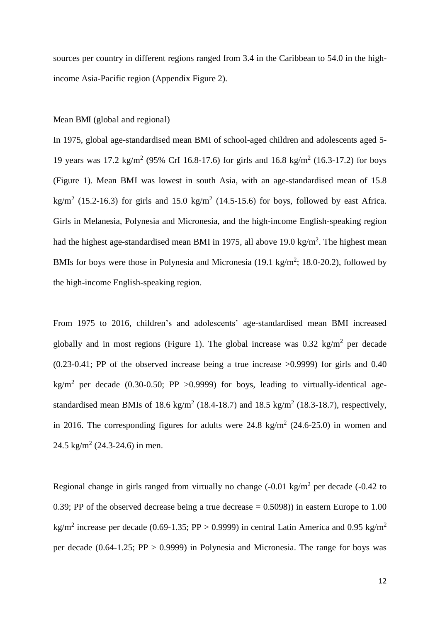sources per country in different regions ranged from 3.4 in the Caribbean to 54.0 in the highincome Asia-Pacific region (Appendix Figure 2).

#### Mean BMI (global and regional)

In 1975, global age-standardised mean BMI of school-aged children and adolescents aged 5- 19 years was 17.2 kg/m<sup>2</sup> (95% CrI 16.8-17.6) for girls and 16.8 kg/m<sup>2</sup> (16.3-17.2) for boys (Figure 1). Mean BMI was lowest in south Asia, with an age-standardised mean of 15.8 kg/m<sup>2</sup> (15.2-16.3) for girls and 15.0 kg/m<sup>2</sup> (14.5-15.6) for boys, followed by east Africa. Girls in Melanesia, Polynesia and Micronesia, and the high-income English-speaking region had the highest age-standardised mean BMI in 1975, all above 19.0 kg/m<sup>2</sup>. The highest mean BMIs for boys were those in Polynesia and Micronesia  $(19.1 \text{ kg/m}^2; 18.0\text{-}20.2)$ , followed by the high-income English-speaking region.

From 1975 to 2016, children's and adolescents' age-standardised mean BMI increased globally and in most regions (Figure 1). The global increase was  $0.32 \text{ kg/m}^2$  per decade (0.23-0.41; PP of the observed increase being a true increase >0.9999) for girls and 0.40 kg/m<sup>2</sup> per decade (0.30-0.50; PP >0.9999) for boys, leading to virtually-identical agestandardised mean BMIs of 18.6 kg/m<sup>2</sup> (18.4-18.7) and 18.5 kg/m<sup>2</sup> (18.3-18.7), respectively, in 2016. The corresponding figures for adults were  $24.8 \text{ kg/m}^2$  (24.6-25.0) in women and  $24.5 \text{ kg/m}^2$  (24.3-24.6) in men.

Regional change in girls ranged from virtually no change  $(-0.01 \text{ kg/m}^2 \text{ per decade } (-0.42 \text{ to }$ 0.39; PP of the observed decrease being a true decrease  $= 0.5098$ ) in eastern Europe to 1.00 kg/m<sup>2</sup> increase per decade (0.69-1.35; PP > 0.9999) in central Latin America and 0.95 kg/m<sup>2</sup> per decade  $(0.64-1.25; PP > 0.9999)$  in Polynesia and Micronesia. The range for boys was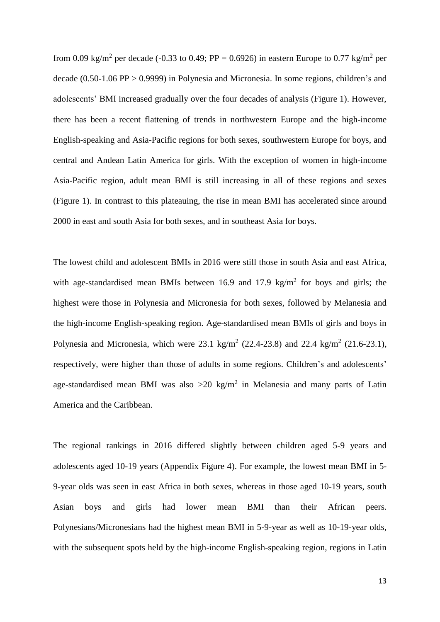from 0.09 kg/m<sup>2</sup> per decade (-0.33 to 0.49; PP = 0.6926) in eastern Europe to 0.77 kg/m<sup>2</sup> per decade (0.50-1.06 PP > 0.9999) in Polynesia and Micronesia. In some regions, children's and adolescents' BMI increased gradually over the four decades of analysis (Figure 1). However, there has been a recent flattening of trends in northwestern Europe and the high-income English-speaking and Asia-Pacific regions for both sexes, southwestern Europe for boys, and central and Andean Latin America for girls. With the exception of women in high-income Asia-Pacific region, adult mean BMI is still increasing in all of these regions and sexes (Figure 1). In contrast to this plateauing, the rise in mean BMI has accelerated since around 2000 in east and south Asia for both sexes, and in southeast Asia for boys.

The lowest child and adolescent BMIs in 2016 were still those in south Asia and east Africa, with age-standardised mean BMIs between  $16.9$  and  $17.9 \text{ kg/m}^2$  for boys and girls; the highest were those in Polynesia and Micronesia for both sexes, followed by Melanesia and the high-income English-speaking region. Age-standardised mean BMIs of girls and boys in Polynesia and Micronesia, which were 23.1 kg/m<sup>2</sup> (22.4-23.8) and 22.4 kg/m<sup>2</sup> (21.6-23.1), respectively, were higher than those of adults in some regions. Children's and adolescents' age-standardised mean BMI was also  $>20$  kg/m<sup>2</sup> in Melanesia and many parts of Latin America and the Caribbean.

The regional rankings in 2016 differed slightly between children aged 5-9 years and adolescents aged 10-19 years (Appendix Figure 4). For example, the lowest mean BMI in 5- 9-year olds was seen in east Africa in both sexes, whereas in those aged 10-19 years, south Asian boys and girls had lower mean BMI than their African peers. Polynesians/Micronesians had the highest mean BMI in 5-9-year as well as 10-19-year olds, with the subsequent spots held by the high-income English-speaking region, regions in Latin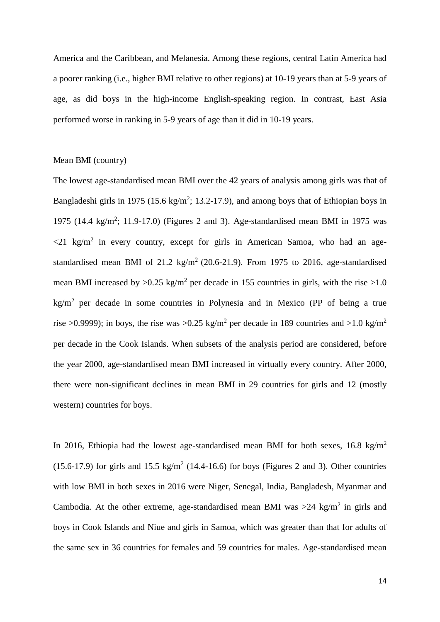America and the Caribbean, and Melanesia. Among these regions, central Latin America had a poorer ranking (i.e., higher BMI relative to other regions) at 10-19 years than at 5-9 years of age, as did boys in the high-income English-speaking region. In contrast, East Asia performed worse in ranking in 5-9 years of age than it did in 10-19 years.

## Mean BMI (country)

The lowest age-standardised mean BMI over the 42 years of analysis among girls was that of Bangladeshi girls in 1975 (15.6 kg/m<sup>2</sup>; 13.2-17.9), and among boys that of Ethiopian boys in 1975 (14.4 kg/m<sup>2</sup>; 11.9-17.0) (Figures 2 and 3). Age-standardised mean BMI in 1975 was  $\langle 21 \text{ kg/m}^2$  in every country, except for girls in American Samoa, who had an agestandardised mean BMI of 21.2 kg/m<sup>2</sup> (20.6-21.9). From 1975 to 2016, age-standardised mean BMI increased by  $>0.25$  kg/m<sup>2</sup> per decade in 155 countries in girls, with the rise  $>1.0$  $\text{kg/m}^2$  per decade in some countries in Polynesia and in Mexico (PP of being a true rise >0.9999); in boys, the rise was >0.25 kg/m<sup>2</sup> per decade in 189 countries and >1.0 kg/m<sup>2</sup> per decade in the Cook Islands. When subsets of the analysis period are considered, before the year 2000, age-standardised mean BMI increased in virtually every country. After 2000, there were non-significant declines in mean BMI in 29 countries for girls and 12 (mostly western) countries for boys.

In 2016, Ethiopia had the lowest age-standardised mean BMI for both sexes,  $16.8 \text{ kg/m}^2$  $(15.6-17.9)$  for girls and  $15.5 \text{ kg/m}^2$   $(14.4-16.6)$  for boys (Figures 2 and 3). Other countries with low BMI in both sexes in 2016 were Niger, Senegal, India, Bangladesh, Myanmar and Cambodia. At the other extreme, age-standardised mean BMI was  $>24$  kg/m<sup>2</sup> in girls and boys in Cook Islands and Niue and girls in Samoa, which was greater than that for adults of the same sex in 36 countries for females and 59 countries for males. Age-standardised mean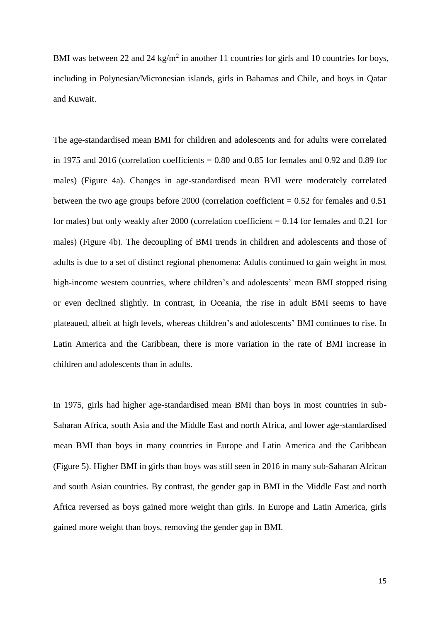BMI was between 22 and 24 kg/m<sup>2</sup> in another 11 countries for girls and 10 countries for boys, including in Polynesian/Micronesian islands, girls in Bahamas and Chile, and boys in Qatar and Kuwait.

The age-standardised mean BMI for children and adolescents and for adults were correlated in 1975 and 2016 (correlation coefficients  $= 0.80$  and 0.85 for females and 0.92 and 0.89 for males) (Figure 4a). Changes in age-standardised mean BMI were moderately correlated between the two age groups before  $2000$  (correlation coefficient = 0.52 for females and 0.51 for males) but only weakly after  $2000$  (correlation coefficient  $= 0.14$  for females and 0.21 for males) (Figure 4b). The decoupling of BMI trends in children and adolescents and those of adults is due to a set of distinct regional phenomena: Adults continued to gain weight in most high-income western countries, where children's and adolescents' mean BMI stopped rising or even declined slightly. In contrast, in Oceania, the rise in adult BMI seems to have plateaued, albeit at high levels, whereas children's and adolescents' BMI continues to rise. In Latin America and the Caribbean, there is more variation in the rate of BMI increase in children and adolescents than in adults.

In 1975, girls had higher age-standardised mean BMI than boys in most countries in sub-Saharan Africa, south Asia and the Middle East and north Africa, and lower age-standardised mean BMI than boys in many countries in Europe and Latin America and the Caribbean (Figure 5). Higher BMI in girls than boys was still seen in 2016 in many sub-Saharan African and south Asian countries. By contrast, the gender gap in BMI in the Middle East and north Africa reversed as boys gained more weight than girls. In Europe and Latin America, girls gained more weight than boys, removing the gender gap in BMI.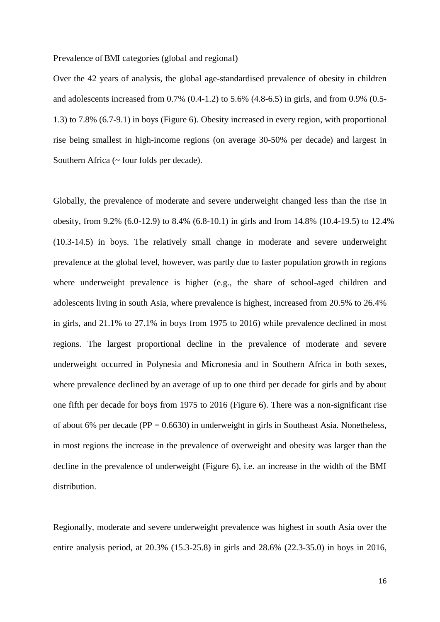Prevalence of BMI categories (global and regional)

Over the 42 years of analysis, the global age-standardised prevalence of obesity in children and adolescents increased from 0.7% (0.4-1.2) to 5.6% (4.8-6.5) in girls, and from 0.9% (0.5- 1.3) to 7.8% (6.7-9.1) in boys (Figure 6). Obesity increased in every region, with proportional rise being smallest in high-income regions (on average 30-50% per decade) and largest in Southern Africa (~ four folds per decade).

Globally, the prevalence of moderate and severe underweight changed less than the rise in obesity, from 9.2% (6.0-12.9) to 8.4% (6.8-10.1) in girls and from 14.8% (10.4-19.5) to 12.4% (10.3-14.5) in boys. The relatively small change in moderate and severe underweight prevalence at the global level, however, was partly due to faster population growth in regions where underweight prevalence is higher (e.g., the share of school-aged children and adolescents living in south Asia, where prevalence is highest, increased from 20.5% to 26.4% in girls, and 21.1% to 27.1% in boys from 1975 to 2016) while prevalence declined in most regions. The largest proportional decline in the prevalence of moderate and severe underweight occurred in Polynesia and Micronesia and in Southern Africa in both sexes, where prevalence declined by an average of up to one third per decade for girls and by about one fifth per decade for boys from 1975 to 2016 (Figure 6). There was a non-significant rise of about 6% per decade ( $PP = 0.6630$ ) in underweight in girls in Southeast Asia. Nonetheless, in most regions the increase in the prevalence of overweight and obesity was larger than the decline in the prevalence of underweight (Figure 6), i.e. an increase in the width of the BMI distribution.

Regionally, moderate and severe underweight prevalence was highest in south Asia over the entire analysis period, at 20.3% (15.3-25.8) in girls and 28.6% (22.3-35.0) in boys in 2016,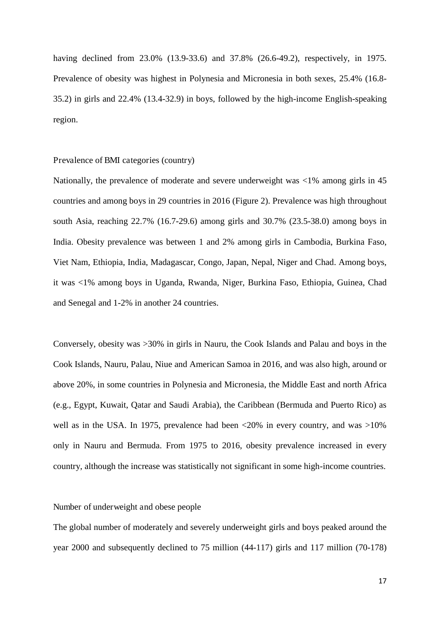having declined from 23.0% (13.9-33.6) and 37.8% (26.6-49.2), respectively, in 1975. Prevalence of obesity was highest in Polynesia and Micronesia in both sexes, 25.4% (16.8- 35.2) in girls and 22.4% (13.4-32.9) in boys, followed by the high-income English-speaking region.

## Prevalence of BMI categories (country)

Nationally, the prevalence of moderate and severe underweight was <1% among girls in 45 countries and among boys in 29 countries in 2016 (Figure 2). Prevalence was high throughout south Asia, reaching 22.7% (16.7-29.6) among girls and 30.7% (23.5-38.0) among boys in India. Obesity prevalence was between 1 and 2% among girls in Cambodia, Burkina Faso, Viet Nam, Ethiopia, India, Madagascar, Congo, Japan, Nepal, Niger and Chad. Among boys, it was <1% among boys in Uganda, Rwanda, Niger, Burkina Faso, Ethiopia, Guinea, Chad and Senegal and 1-2% in another 24 countries.

Conversely, obesity was >30% in girls in Nauru, the Cook Islands and Palau and boys in the Cook Islands, Nauru, Palau, Niue and American Samoa in 2016, and was also high, around or above 20%, in some countries in Polynesia and Micronesia, the Middle East and north Africa (e.g., Egypt, Kuwait, Qatar and Saudi Arabia), the Caribbean (Bermuda and Puerto Rico) as well as in the USA. In 1975, prevalence had been <20% in every country, and was >10% only in Nauru and Bermuda. From 1975 to 2016, obesity prevalence increased in every country, although the increase was statistically not significant in some high-income countries.

#### Number of underweight and obese people

The global number of moderately and severely underweight girls and boys peaked around the year 2000 and subsequently declined to 75 million (44-117) girls and 117 million (70-178)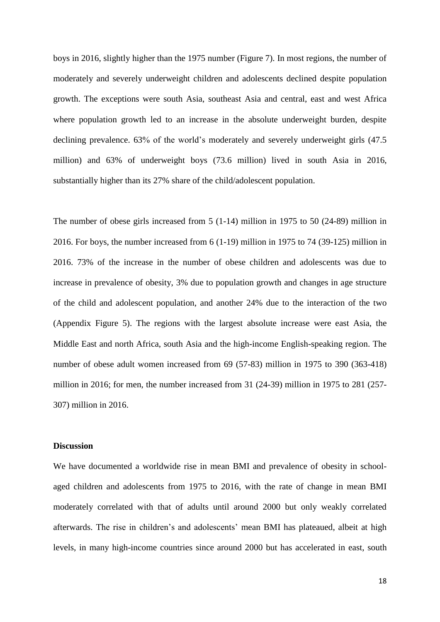boys in 2016, slightly higher than the 1975 number (Figure 7). In most regions, the number of moderately and severely underweight children and adolescents declined despite population growth. The exceptions were south Asia, southeast Asia and central, east and west Africa where population growth led to an increase in the absolute underweight burden, despite declining prevalence. 63% of the world's moderately and severely underweight girls (47.5 million) and 63% of underweight boys (73.6 million) lived in south Asia in 2016, substantially higher than its 27% share of the child/adolescent population.

The number of obese girls increased from 5 (1-14) million in 1975 to 50 (24-89) million in 2016. For boys, the number increased from 6 (1-19) million in 1975 to 74 (39-125) million in 2016. 73% of the increase in the number of obese children and adolescents was due to increase in prevalence of obesity, 3% due to population growth and changes in age structure of the child and adolescent population, and another 24% due to the interaction of the two (Appendix Figure 5). The regions with the largest absolute increase were east Asia, the Middle East and north Africa, south Asia and the high-income English-speaking region. The number of obese adult women increased from 69 (57-83) million in 1975 to 390 (363-418) million in 2016; for men, the number increased from 31 (24-39) million in 1975 to 281 (257- 307) million in 2016.

#### **Discussion**

We have documented a worldwide rise in mean BMI and prevalence of obesity in schoolaged children and adolescents from 1975 to 2016, with the rate of change in mean BMI moderately correlated with that of adults until around 2000 but only weakly correlated afterwards. The rise in children's and adolescents' mean BMI has plateaued, albeit at high levels, in many high-income countries since around 2000 but has accelerated in east, south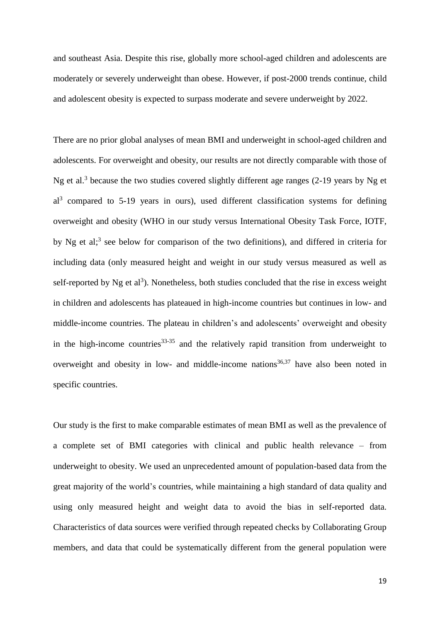and southeast Asia. Despite this rise, globally more school-aged children and adolescents are moderately or severely underweight than obese. However, if post-2000 trends continue, child and adolescent obesity is expected to surpass moderate and severe underweight by 2022.

There are no prior global analyses of mean BMI and underweight in school-aged children and adolescents. For overweight and obesity, our results are not directly comparable with those of Ng et al.<sup>3</sup> because the two studies covered slightly different age ranges  $(2-19)$  years by Ng et al<sup>3</sup> compared to 5-19 years in ours), used different classification systems for defining overweight and obesity (WHO in our study versus International Obesity Task Force, IOTF, by Ng et al;<sup>3</sup> see below for comparison of the two definitions), and differed in criteria for including data (only measured height and weight in our study versus measured as well as self-reported by Ng et  $al^3$ ). Nonetheless, both studies concluded that the rise in excess weight in children and adolescents has plateaued in high-income countries but continues in low- and middle-income countries. The plateau in children's and adolescents' overweight and obesity in the high-income countries  $33-35$  and the relatively rapid transition from underweight to overweight and obesity in low- and middle-income nations<sup>36,37</sup> have also been noted in specific countries.

Our study is the first to make comparable estimates of mean BMI as well as the prevalence of a complete set of BMI categories with clinical and public health relevance – from underweight to obesity. We used an unprecedented amount of population-based data from the great majority of the world's countries, while maintaining a high standard of data quality and using only measured height and weight data to avoid the bias in self-reported data. Characteristics of data sources were verified through repeated checks by Collaborating Group members, and data that could be systematically different from the general population were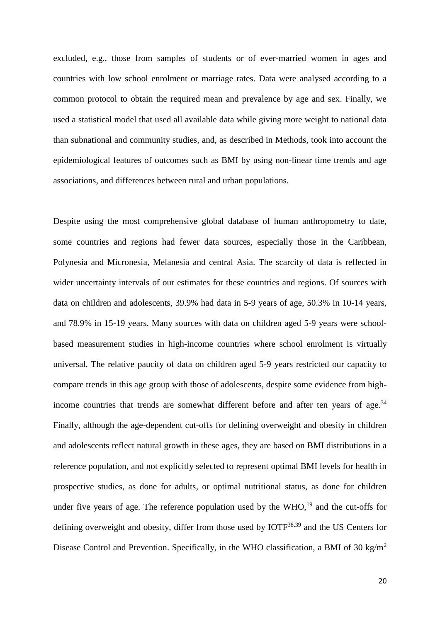excluded, e.g., those from samples of students or of ever-married women in ages and countries with low school enrolment or marriage rates. Data were analysed according to a common protocol to obtain the required mean and prevalence by age and sex. Finally, we used a statistical model that used all available data while giving more weight to national data than subnational and community studies, and, as described in Methods, took into account the epidemiological features of outcomes such as BMI by using non-linear time trends and age associations, and differences between rural and urban populations.

Despite using the most comprehensive global database of human anthropometry to date, some countries and regions had fewer data sources, especially those in the Caribbean, Polynesia and Micronesia, Melanesia and central Asia. The scarcity of data is reflected in wider uncertainty intervals of our estimates for these countries and regions. Of sources with data on children and adolescents, 39.9% had data in 5-9 years of age, 50.3% in 10-14 years, and 78.9% in 15-19 years. Many sources with data on children aged 5-9 years were schoolbased measurement studies in high-income countries where school enrolment is virtually universal. The relative paucity of data on children aged 5-9 years restricted our capacity to compare trends in this age group with those of adolescents, despite some evidence from highincome countries that trends are somewhat different before and after ten years of age. $34$ Finally, although the age-dependent cut-offs for defining overweight and obesity in children and adolescents reflect natural growth in these ages, they are based on BMI distributions in a reference population, and not explicitly selected to represent optimal BMI levels for health in prospective studies, as done for adults, or optimal nutritional status, as done for children under five years of age. The reference population used by the  $WHO<sub>19</sub>$  and the cut-offs for defining overweight and obesity, differ from those used by IOTF<sup>38,39</sup> and the US Centers for Disease Control and Prevention. Specifically, in the WHO classification, a BMI of 30 kg/m<sup>2</sup>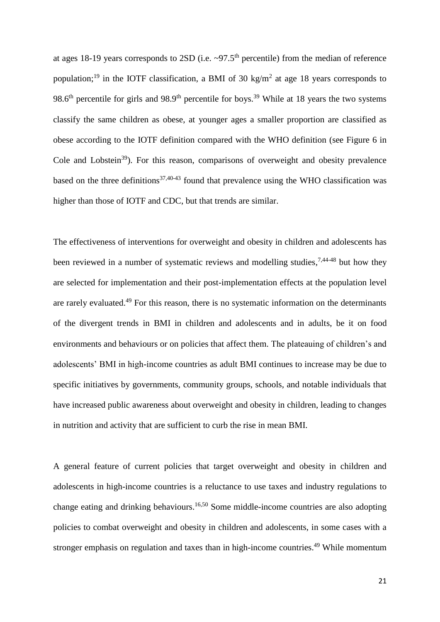at ages 18-19 years corresponds to 2SD (i.e.  $\sim$ 97.5<sup>th</sup> percentile) from the median of reference population;<sup>19</sup> in the IOTF classification, a BMI of 30 kg/m<sup>2</sup> at age 18 years corresponds to 98.6<sup>th</sup> percentile for girls and 98.9<sup>th</sup> percentile for boys.<sup>39</sup> While at 18 years the two systems classify the same children as obese, at younger ages a smaller proportion are classified as obese according to the IOTF definition compared with the WHO definition (see Figure 6 in Cole and Lobstein<sup>39</sup>). For this reason, comparisons of overweight and obesity prevalence based on the three definitions<sup>37,40-43</sup> found that prevalence using the WHO classification was higher than those of IOTF and CDC, but that trends are similar.

The effectiveness of interventions for overweight and obesity in children and adolescents has been reviewed in a number of systematic reviews and modelling studies,  $7,44-48$  but how they are selected for implementation and their post-implementation effects at the population level are rarely evaluated.<sup>49</sup> For this reason, there is no systematic information on the determinants of the divergent trends in BMI in children and adolescents and in adults, be it on food environments and behaviours or on policies that affect them. The plateauing of children's and adolescents' BMI in high-income countries as adult BMI continues to increase may be due to specific initiatives by governments, community groups, schools, and notable individuals that have increased public awareness about overweight and obesity in children, leading to changes in nutrition and activity that are sufficient to curb the rise in mean BMI.

A general feature of current policies that target overweight and obesity in children and adolescents in high-income countries is a reluctance to use taxes and industry regulations to change eating and drinking behaviours.16,50 Some middle-income countries are also adopting policies to combat overweight and obesity in children and adolescents, in some cases with a stronger emphasis on regulation and taxes than in high-income countries.<sup>49</sup> While momentum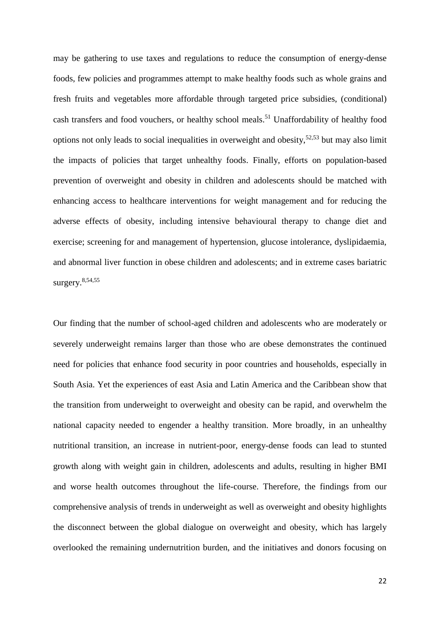may be gathering to use taxes and regulations to reduce the consumption of energy-dense foods, few policies and programmes attempt to make healthy foods such as whole grains and fresh fruits and vegetables more affordable through targeted price subsidies, (conditional) cash transfers and food vouchers, or healthy school meals.<sup>51</sup> Unaffordability of healthy food options not only leads to social inequalities in overweight and obesity, $52,53$  but may also limit the impacts of policies that target unhealthy foods. Finally, efforts on population-based prevention of overweight and obesity in children and adolescents should be matched with enhancing access to healthcare interventions for weight management and for reducing the adverse effects of obesity, including intensive behavioural therapy to change diet and exercise; screening for and management of hypertension, glucose intolerance, dyslipidaemia, and abnormal liver function in obese children and adolescents; and in extreme cases bariatric surgery.8,54,55

Our finding that the number of school-aged children and adolescents who are moderately or severely underweight remains larger than those who are obese demonstrates the continued need for policies that enhance food security in poor countries and households, especially in South Asia. Yet the experiences of east Asia and Latin America and the Caribbean show that the transition from underweight to overweight and obesity can be rapid, and overwhelm the national capacity needed to engender a healthy transition. More broadly, in an unhealthy nutritional transition, an increase in nutrient-poor, energy-dense foods can lead to stunted growth along with weight gain in children, adolescents and adults, resulting in higher BMI and worse health outcomes throughout the life-course. Therefore, the findings from our comprehensive analysis of trends in underweight as well as overweight and obesity highlights the disconnect between the global dialogue on overweight and obesity, which has largely overlooked the remaining undernutrition burden, and the initiatives and donors focusing on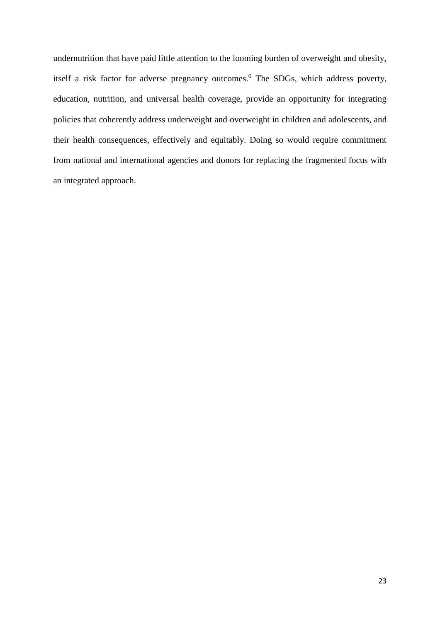undernutrition that have paid little attention to the looming burden of overweight and obesity, itself a risk factor for adverse pregnancy outcomes.<sup>6</sup> The SDGs, which address poverty, education, nutrition, and universal health coverage, provide an opportunity for integrating policies that coherently address underweight and overweight in children and adolescents, and their health consequences, effectively and equitably. Doing so would require commitment from national and international agencies and donors for replacing the fragmented focus with an integrated approach.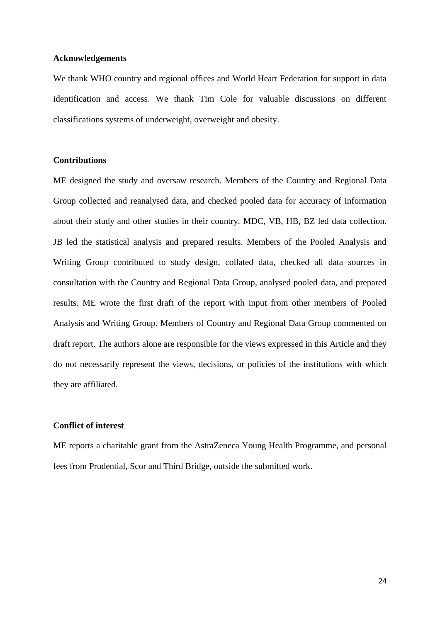#### **Acknowledgements**

We thank WHO country and regional offices and World Heart Federation for support in data identification and access. We thank Tim Cole for valuable discussions on different classifications systems of underweight, overweight and obesity.

## **Contributions**

ME designed the study and oversaw research. Members of the Country and Regional Data Group collected and reanalysed data, and checked pooled data for accuracy of information about their study and other studies in their country. MDC, VB, HB, BZ led data collection. JB led the statistical analysis and prepared results. Members of the Pooled Analysis and Writing Group contributed to study design, collated data, checked all data sources in consultation with the Country and Regional Data Group, analysed pooled data, and prepared results. ME wrote the first draft of the report with input from other members of Pooled Analysis and Writing Group. Members of Country and Regional Data Group commented on draft report. The authors alone are responsible for the views expressed in this Article and they do not necessarily represent the views, decisions, or policies of the institutions with which they are affiliated.

#### **Conflict of interest**

ME reports a charitable grant from the AstraZeneca Young Health Programme, and personal fees from Prudential, Scor and Third Bridge, outside the submitted work.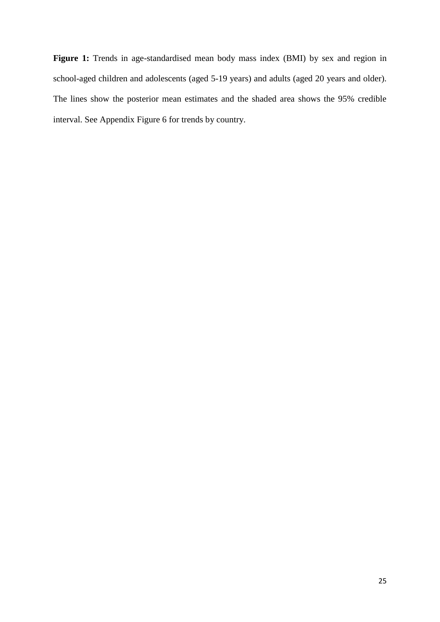**Figure 1:** Trends in age-standardised mean body mass index (BMI) by sex and region in school-aged children and adolescents (aged 5-19 years) and adults (aged 20 years and older). The lines show the posterior mean estimates and the shaded area shows the 95% credible interval. See Appendix Figure 6 for trends by country.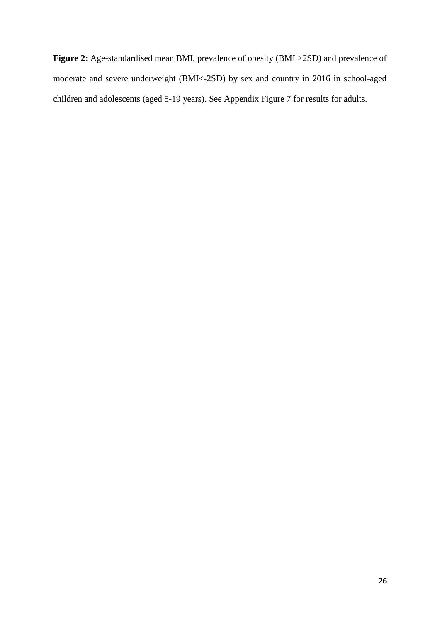**Figure 2:** Age-standardised mean BMI, prevalence of obesity (BMI >2SD) and prevalence of moderate and severe underweight (BMI<-2SD) by sex and country in 2016 in school-aged children and adolescents (aged 5-19 years). See Appendix Figure 7 for results for adults.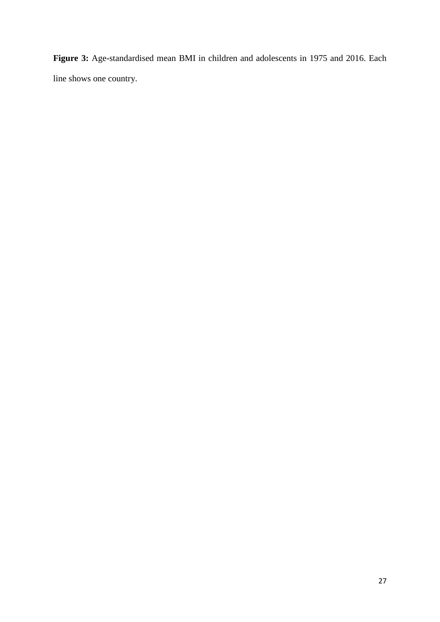**Figure 3:** Age-standardised mean BMI in children and adolescents in 1975 and 2016. Each line shows one country.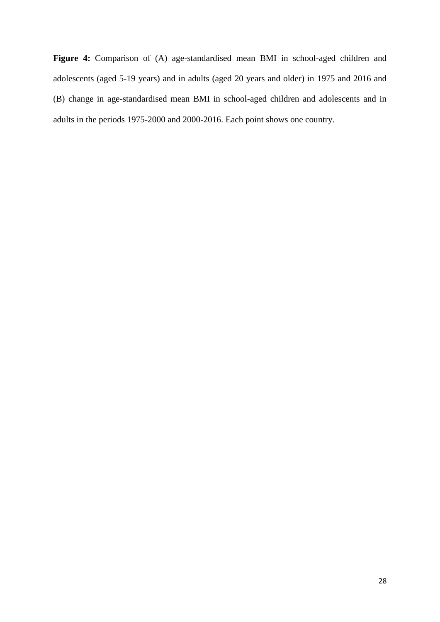**Figure 4:** Comparison of (A) age-standardised mean BMI in school-aged children and adolescents (aged 5-19 years) and in adults (aged 20 years and older) in 1975 and 2016 and (B) change in age-standardised mean BMI in school-aged children and adolescents and in adults in the periods 1975-2000 and 2000-2016. Each point shows one country.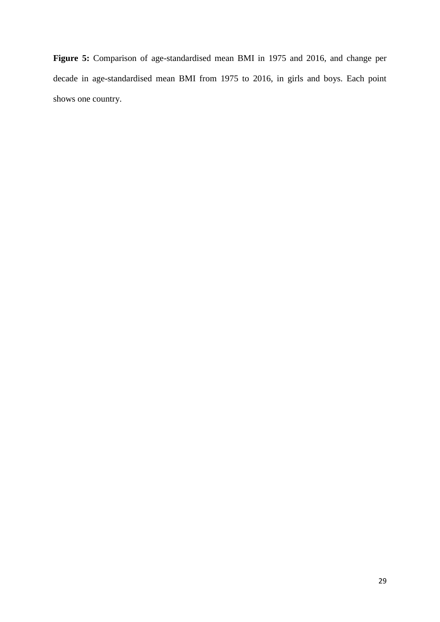**Figure 5:** Comparison of age-standardised mean BMI in 1975 and 2016, and change per decade in age-standardised mean BMI from 1975 to 2016, in girls and boys. Each point shows one country.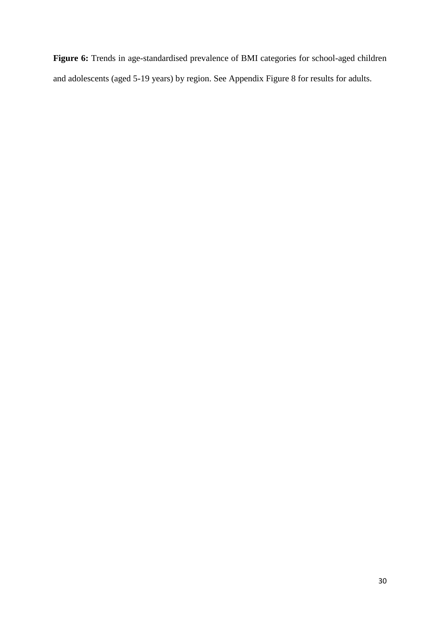**Figure 6:** Trends in age-standardised prevalence of BMI categories for school-aged children and adolescents (aged 5-19 years) by region. See Appendix Figure 8 for results for adults.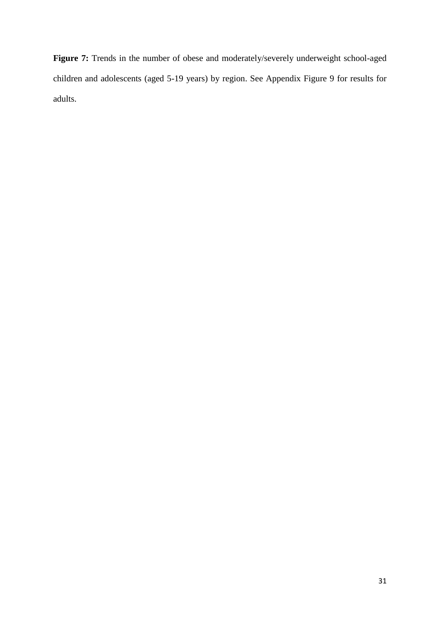Figure 7: Trends in the number of obese and moderately/severely underweight school-aged children and adolescents (aged 5-19 years) by region. See Appendix Figure 9 for results for adults.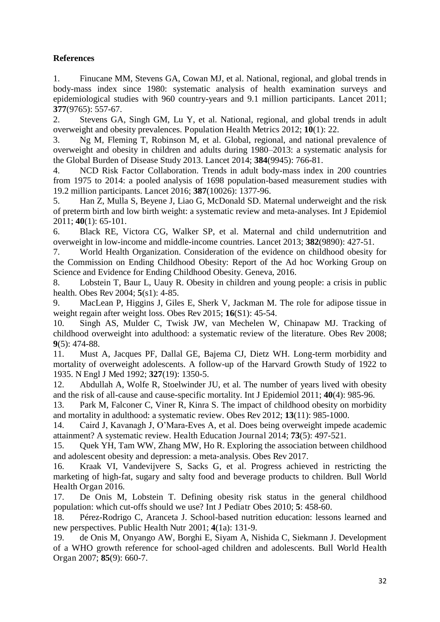# **References**

1. Finucane MM, Stevens GA, Cowan MJ, et al. National, regional, and global trends in body-mass index since 1980: systematic analysis of health examination surveys and epidemiological studies with 960 country-years and 9.1 million participants. Lancet 2011; **377**(9765): 557-67.

2. Stevens GA, Singh GM, Lu Y, et al. National, regional, and global trends in adult overweight and obesity prevalences. Population Health Metrics 2012; **10**(1): 22.

3. Ng M, Fleming T, Robinson M, et al. Global, regional, and national prevalence of overweight and obesity in children and adults during 1980–2013: a systematic analysis for the Global Burden of Disease Study 2013. Lancet 2014; **384**(9945): 766-81.

4. NCD Risk Factor Collaboration. Trends in adult body-mass index in 200 countries from 1975 to 2014: a pooled analysis of 1698 population-based measurement studies with 19.2 million participants. Lancet 2016; **387**(10026): 1377-96.

5. Han Z, Mulla S, Beyene J, Liao G, McDonald SD. Maternal underweight and the risk of preterm birth and low birth weight: a systematic review and meta-analyses. Int J Epidemiol 2011; **40**(1): 65-101.

6. Black RE, Victora CG, Walker SP, et al. Maternal and child undernutrition and overweight in low-income and middle-income countries. Lancet 2013; **382**(9890): 427-51.

7. World Health Organization. Consideration of the evidence on childhood obesity for the Commission on Ending Childhood Obesity: Report of the Ad hoc Working Group on Science and Evidence for Ending Childhood Obesity. Geneva, 2016.

8. Lobstein T, Baur L, Uauy R. Obesity in children and young people: a crisis in public health. Obes Rev 2004; **5**(s1): 4-85.

9. MacLean P, Higgins J, Giles E, Sherk V, Jackman M. The role for adipose tissue in weight regain after weight loss. Obes Rev 2015; **16**(S1): 45-54.

10. Singh AS, Mulder C, Twisk JW, van Mechelen W, Chinapaw MJ. Tracking of childhood overweight into adulthood: a systematic review of the literature. Obes Rev 2008; **9**(5): 474-88.

11. Must A, Jacques PF, Dallal GE, Bajema CJ, Dietz WH. Long-term morbidity and mortality of overweight adolescents. A follow-up of the Harvard Growth Study of 1922 to 1935. N Engl J Med 1992; **327**(19): 1350-5.

12. Abdullah A, Wolfe R, Stoelwinder JU, et al. The number of years lived with obesity and the risk of all-cause and cause-specific mortality. Int J Epidemiol 2011; **40**(4): 985-96.

13. Park M, Falconer C, Viner R, Kinra S. The impact of childhood obesity on morbidity and mortality in adulthood: a systematic review. Obes Rev 2012; **13**(11): 985-1000.

14. Caird J, Kavanagh J, O'Mara-Eves A, et al. Does being overweight impede academic attainment? A systematic review. Health Education Journal 2014; **73**(5): 497-521.

15. Quek YH, Tam WW, Zhang MW, Ho R. Exploring the association between childhood and adolescent obesity and depression: a meta-analysis. Obes Rev 2017.<br>16. Kraak VI. Vandeviivere S. Sacks G. et al. Progress achieve

16. Kraak VI, Vandevijvere S, Sacks G, et al. Progress achieved in restricting the marketing of high-fat, sugary and salty food and beverage products to children. Bull World Health Organ 2016.

17. De Onis M, Lobstein T. Defining obesity risk status in the general childhood population: which cut-offs should we use? Int J Pediatr Obes 2010; **5**: 458-60.

18. Pérez-Rodrigo C, Aranceta J. School-based nutrition education: lessons learned and new perspectives. Public Health Nutr 2001; **4**(1a): 131-9.

19. de Onis M, Onyango AW, Borghi E, Siyam A, Nishida C, Siekmann J. Development of a WHO growth reference for school-aged children and adolescents. Bull World Health Organ 2007; **85**(9): 660-7.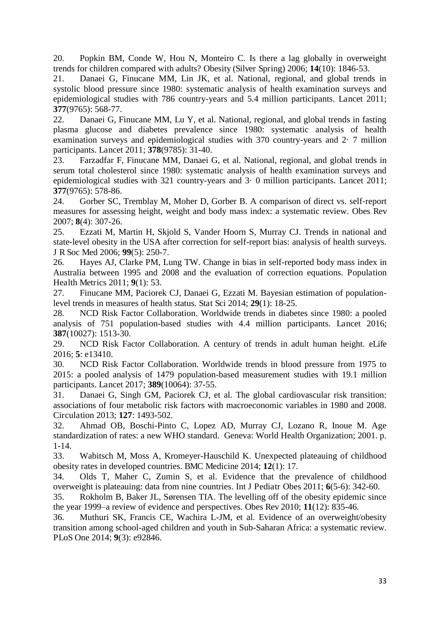20. Popkin BM, Conde W, Hou N, Monteiro C. Is there a lag globally in overweight trends for children compared with adults? Obesity (Silver Spring) 2006; **14**(10): 1846-53.

21. Danaei G, Finucane MM, Lin JK, et al. National, regional, and global trends in systolic blood pressure since 1980: systematic analysis of health examination surveys and epidemiological studies with 786 country-years and 5.4 million participants. Lancet 2011; **377**(9765): 568-77.

22. Danaei G, Finucane MM, Lu Y, et al. National, regional, and global trends in fasting plasma glucose and diabetes prevalence since 1980: systematic analysis of health examination surveys and epidemiological studies with 370 country-years and 2· 7 million participants. Lancet 2011; **378**(9785): 31-40.

23. Farzadfar F, Finucane MM, Danaei G, et al. National, regional, and global trends in serum total cholesterol since 1980: systematic analysis of health examination surveys and epidemiological studies with 321 country-years and 3· 0 million participants. Lancet 2011; **377**(9765): 578-86.

24. Gorber SC, Tremblay M, Moher D, Gorber B. A comparison of direct vs. self-report measures for assessing height, weight and body mass index: a systematic review. Obes Rev 2007; **8**(4): 307-26.

25. Ezzati M, Martin H, Skjold S, Vander Hoorn S, Murray CJ. Trends in national and state-level obesity in the USA after correction for self-report bias: analysis of health surveys. J R Soc Med 2006; **99**(5): 250-7.

26. Hayes AJ, Clarke PM, Lung TW. Change in bias in self-reported body mass index in Australia between 1995 and 2008 and the evaluation of correction equations. Population Health Metrics 2011; **9**(1): 53.

27. Finucane MM, Paciorek CJ, Danaei G, Ezzati M. Bayesian estimation of populationlevel trends in measures of health status. Stat Sci 2014; **29**(1): 18-25.

28. NCD Risk Factor Collaboration. Worldwide trends in diabetes since 1980: a pooled analysis of 751 population-based studies with 4.4 million participants. Lancet 2016; **387**(10027): 1513-30.

29. NCD Risk Factor Collaboration. A century of trends in adult human height. eLife 2016; **5**: e13410.

30. NCD Risk Factor Collaboration. Worldwide trends in blood pressure from 1975 to 2015: a pooled analysis of 1479 population-based measurement studies with 19.1 million participants. Lancet 2017; **389**(10064): 37-55.

31. Danaei G, Singh GM, Paciorek CJ, et al. The global cardiovascular risk transition: associations of four metabolic risk factors with macroeconomic variables in 1980 and 2008. Circulation 2013; **127**: 1493-502.

32. Ahmad OB, Boschi-Pinto C, Lopez AD, Murray CJ, Lozano R, Inoue M. Age standardization of rates: a new WHO standard. Geneva: World Health Organization; 2001. p. 1-14.

33. Wabitsch M, Moss A, Kromeyer-Hauschild K. Unexpected plateauing of childhood obesity rates in developed countries. BMC Medicine 2014; **12**(1): 17.

34. Olds T, Maher C, Zumin S, et al. Evidence that the prevalence of childhood overweight is plateauing: data from nine countries. Int J Pediatr Obes 2011; **6**(5-6): 342-60.

35. Rokholm B, Baker JL, Sørensen TIA. The levelling off of the obesity epidemic since the year 1999–a review of evidence and perspectives. Obes Rev 2010; **11**(12): 835-46.

36. Muthuri SK, Francis CE, Wachira L-JM, et al. Evidence of an overweight/obesity transition among school-aged children and youth in Sub-Saharan Africa: a systematic review. PLoS One 2014; **9**(3): e92846.